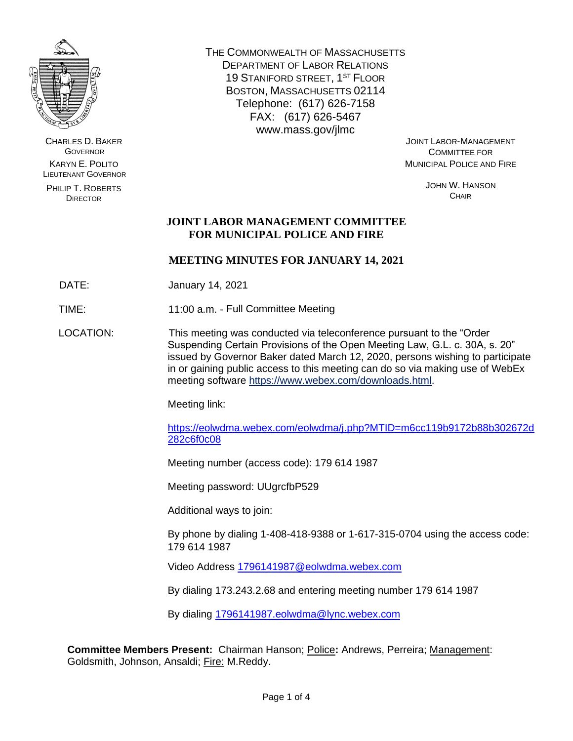

CHARLES D. BAKER **GOVERNOR** KARYN E. POLITO LIEUTENANT GOVERNOR

PHILIP T. ROBERTS DIRECTOR

THE COMMONWEALTH OF MASSACHUSETTS DEPARTMENT OF LABOR RELATIONS 19 STANIFORD STREET, 1<sup>ST</sup> FLOOR BOSTON, MASSACHUSETTS 02114 Telephone: (617) 626-7158 FAX: (617) 626-5467 www.mass.gov/jlmc

JOINT LABOR-MANAGEMENT COMMITTEE FOR MUNICIPAL POLICE AND FIRE

> JOHN W. HANSON **CHAIR**

### **JOINT LABOR MANAGEMENT COMMITTEE FOR MUNICIPAL POLICE AND FIRE**

### **MEETING MINUTES FOR JANUARY 14, 2021**

DATE: January 14, 2021

TIME: 11:00 a.m. - Full Committee Meeting

LOCATION: This meeting was conducted via teleconference pursuant to the "Order Suspending Certain Provisions of the Open Meeting Law, G.L. c. 30A, s. 20" issued by Governor Baker dated March 12, 2020, persons wishing to participate in or gaining public access to this meeting can do so via making use of WebEx meeting software [https://www.webex.com/downloads.html.](https://www.webex.com/downloads.html)

Meeting link:

[https://eolwdma.webex.com/eolwdma/j.php?MTID=m6cc119b9172b88b302672d](https://eolwdma.webex.com/eolwdma/j.php?MTID=m6cc119b9172b88b302672d282c6f0c08) [282c6f0c08](https://eolwdma.webex.com/eolwdma/j.php?MTID=m6cc119b9172b88b302672d282c6f0c08)

Meeting number (access code): 179 614 1987

Meeting password: UUgrcfbP529

Additional ways to join:

By phone by dialing 1-408-418-9388 or 1-617-315-0704 using the access code: 179 614 1987

Video Address [1796141987@eolwdma.webex.com](mailto:1796141987@eolwdma.webex.com)

By dialing 173.243.2.68 and entering meeting number 179 614 1987

By dialing [1796141987.eolwdma@lync.webex.com](mailto:1796141987.eolwdma@lync.webex.com)

**Committee Members Present:** Chairman Hanson; Police**:** Andrews, Perreira; Management: Goldsmith, Johnson, Ansaldi; Fire: M.Reddy.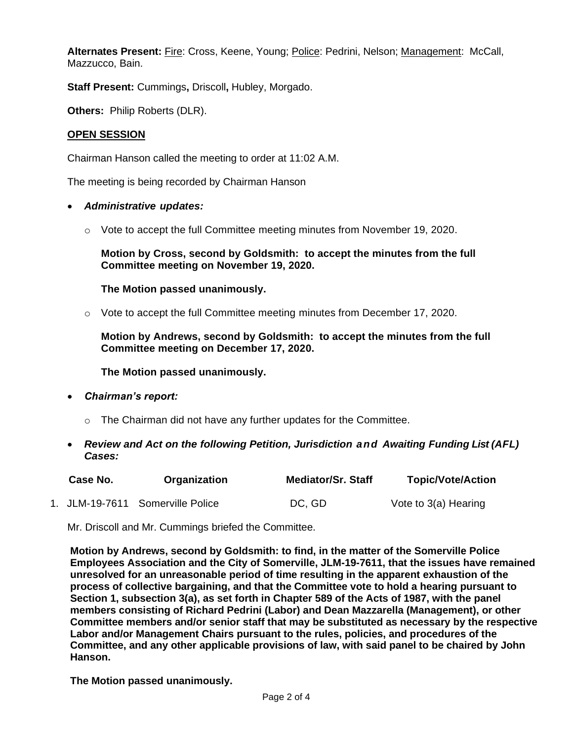**Alternates Present:** Fire: Cross, Keene, Young; Police: Pedrini, Nelson; Management: McCall, Mazzucco, Bain.

**Staff Present:** Cummings**,** Driscoll**,** Hubley, Morgado.

**Others:** Philip Roberts (DLR).

#### **OPEN SESSION**

Chairman Hanson called the meeting to order at 11:02 A.M.

The meeting is being recorded by Chairman Hanson

- *Administrative updates:*
	- $\circ$  Vote to accept the full Committee meeting minutes from November 19, 2020.

**Motion by Cross, second by Goldsmith: to accept the minutes from the full Committee meeting on November 19, 2020.**

**The Motion passed unanimously.**

 $\circ$  Vote to accept the full Committee meeting minutes from December 17, 2020.

**Motion by Andrews, second by Goldsmith: to accept the minutes from the full Committee meeting on December 17, 2020.**

**The Motion passed unanimously.**

- *Chairman's report:*
	- $\circ$  The Chairman did not have any further updates for the Committee.
- *Review and Act on the following Petition, Jurisdiction and Awaiting Funding List (AFL) Cases:*

| Case No. | Organization                     | <b>Mediator/Sr. Staff</b> | <b>Topic/Vote/Action</b> |
|----------|----------------------------------|---------------------------|--------------------------|
|          | 1. JLM-19-7611 Somerville Police | DC, GD                    | Vote to 3(a) Hearing     |

Mr. Driscoll and Mr. Cummings briefed the Committee.

**Motion by Andrews, second by Goldsmith: to find, in the matter of the Somerville Police Employees Association and the City of Somerville, JLM-19-7611, that the issues have remained unresolved for an unreasonable period of time resulting in the apparent exhaustion of the process of collective bargaining, and that the Committee vote to hold a hearing pursuant to Section 1, subsection 3(a), as set forth in Chapter 589 of the Acts of 1987, with the panel members consisting of Richard Pedrini (Labor) and Dean Mazzarella (Management), or other Committee members and/or senior staff that may be substituted as necessary by the respective Labor and/or Management Chairs pursuant to the rules, policies, and procedures of the Committee, and any other applicable provisions of law, with said panel to be chaired by John Hanson.**

**The Motion passed unanimously.**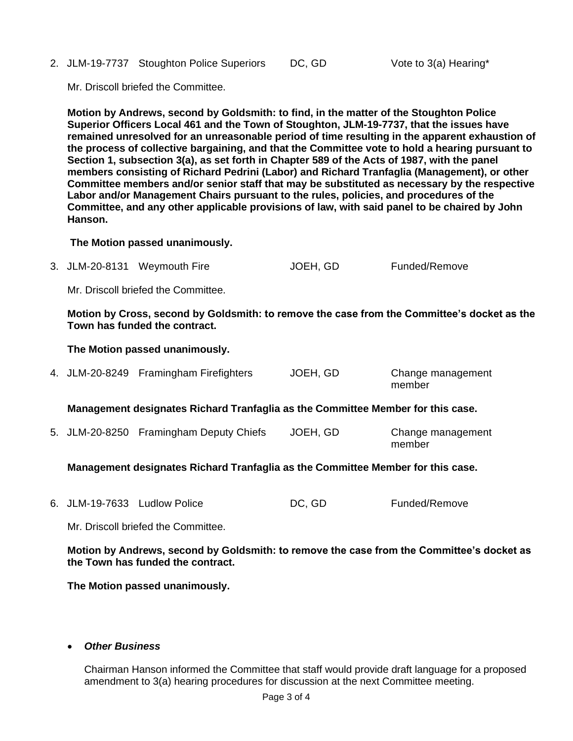2. JLM-19-7737 Stoughton Police Superiors DC, GD Vote to 3(a) Hearing\*

Mr. Driscoll briefed the Committee.

**Motion by Andrews, second by Goldsmith: to find, in the matter of the Stoughton Police Superior Officers Local 461 and the Town of Stoughton, JLM-19-7737, that the issues have remained unresolved for an unreasonable period of time resulting in the apparent exhaustion of the process of collective bargaining, and that the Committee vote to hold a hearing pursuant to Section 1, subsection 3(a), as set forth in Chapter 589 of the Acts of 1987, with the panel members consisting of Richard Pedrini (Labor) and Richard Tranfaglia (Management), or other Committee members and/or senior staff that may be substituted as necessary by the respective Labor and/or Management Chairs pursuant to the rules, policies, and procedures of the Committee, and any other applicable provisions of law, with said panel to be chaired by John Hanson.**

#### **The Motion passed unanimously.**

3. JLM-20-8131 Weymouth Fire JOEH, GD Funded/Remove

Mr. Driscoll briefed the Committee.

**Motion by Cross, second by Goldsmith: to remove the case from the Committee's docket as the Town has funded the contract.**

#### **The Motion passed unanimously.**

|  | 4. JLM-20-8249 Framingham Firefighters | JOEH, GD | Change management |
|--|----------------------------------------|----------|-------------------|
|  |                                        |          | member            |

**Management designates Richard Tranfaglia as the Committee Member for this case.**

5. JLM-20-8250 Framingham Deputy Chiefs JOEH, GD Change management member

**Management designates Richard Tranfaglia as the Committee Member for this case.**

6. JLM-19-7633 Ludlow Police **DC, GD** Funded/Remove

Mr. Driscoll briefed the Committee.

**Motion by Andrews, second by Goldsmith: to remove the case from the Committee's docket as the Town has funded the contract.**

**The Motion passed unanimously.**

#### • *Other Business*

Chairman Hanson informed the Committee that staff would provide draft language for a proposed amendment to 3(a) hearing procedures for discussion at the next Committee meeting.